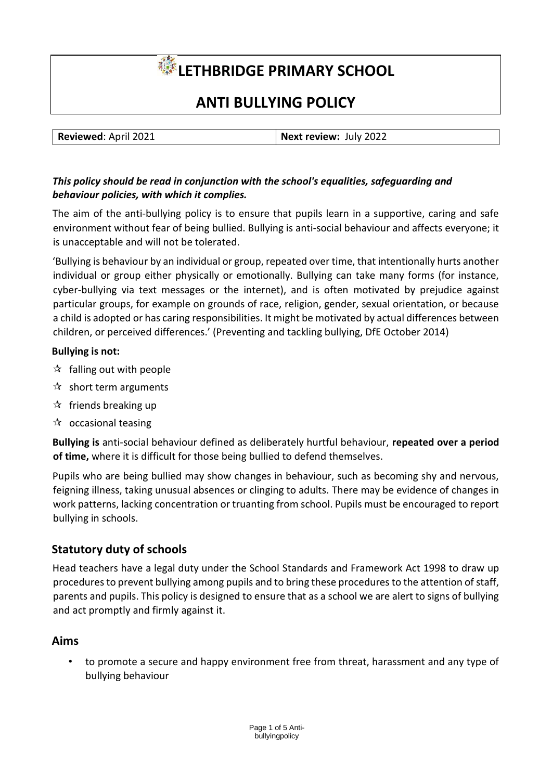# **LETHBRIDGE PRIMARY SCHOOL**

# **ANTI BULLYING POLICY**

| Reviewed: April 2021 | Next review: July 2022 |
|----------------------|------------------------|

#### *This policy should be read in conjunction with the school's equalities, safeguarding and behaviour policies, with which it complies.*

The aim of the anti-bullying policy is to ensure that pupils learn in a supportive, caring and safe environment without fear of being bullied. Bullying is anti‐social behaviour and affects everyone; it is unacceptable and will not be tolerated.

'Bullying is behaviour by an individual or group, repeated over time, that intentionally hurts another individual or group either physically or emotionally. Bullying can take many forms (for instance, cyber-bullying via text messages or the internet), and is often motivated by prejudice against particular groups, for example on grounds of race, religion, gender, sexual orientation, or because a child is adopted or has caring responsibilities. It might be motivated by actual differences between children, or perceived differences.' (Preventing and tackling bullying, DfE October 2014)

#### **Bullying is not:**

- $\mathbf{\hat{x}}$  falling out with people
- $\mathbf{\hat{x}}$  short term arguments
- $\mathcal{R}$  friends breaking up
- $\mathcal{R}$  occasional teasing

**Bullying is** anti‐social behaviour defined as deliberately hurtful behaviour, **repeated over a period of time,** where it is difficult for those being bullied to defend themselves.

Pupils who are being bullied may show changes in behaviour, such as becoming shy and nervous, feigning illness, taking unusual absences or clinging to adults. There may be evidence of changes in work patterns, lacking concentration or truanting from school. Pupils must be encouraged to report bullying in schools.

# **Statutory duty of schools**

Head teachers have a legal duty under the School Standards and Framework Act 1998 to draw up procedures to prevent bullying among pupils and to bring these procedures to the attention of staff, parents and pupils. This policy is designed to ensure that as a school we are alert to signs of bullying and act promptly and firmly against it.

#### **Aims**

• to promote a secure and happy environment free from threat, harassment and any type of bullying behaviour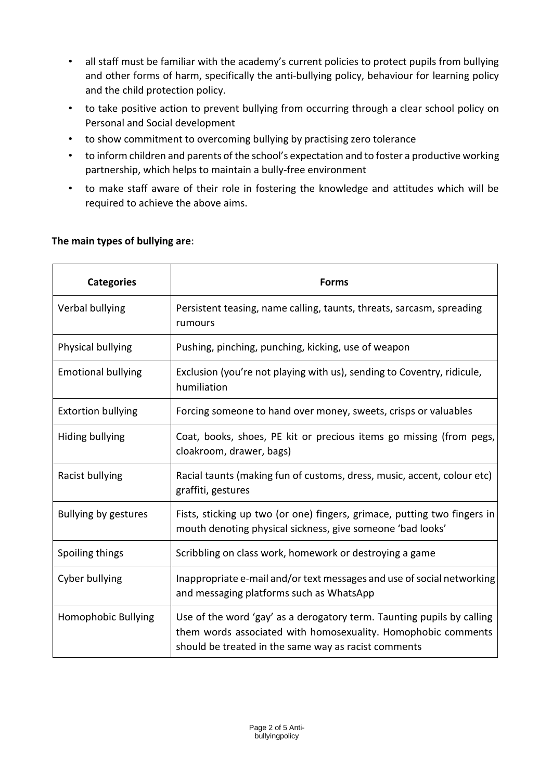- all staff must be familiar with the academy's current policies to protect pupils from bullying and other forms of harm, specifically the anti-bullying policy, behaviour for learning policy and the child protection policy.
- to take positive action to prevent bullying from occurring through a clear school policy on Personal and Social development
- to show commitment to overcoming bullying by practising zero tolerance
- to inform children and parents of the school's expectation and to foster a productive working partnership, which helps to maintain a bully‐free environment
- to make staff aware of their role in fostering the knowledge and attitudes which will be required to achieve the above aims.

| <b>Categories</b>         | <b>Forms</b>                                                                                                                                                                                    |
|---------------------------|-------------------------------------------------------------------------------------------------------------------------------------------------------------------------------------------------|
| Verbal bullying           | Persistent teasing, name calling, taunts, threats, sarcasm, spreading<br>rumours                                                                                                                |
| Physical bullying         | Pushing, pinching, punching, kicking, use of weapon                                                                                                                                             |
| <b>Emotional bullying</b> | Exclusion (you're not playing with us), sending to Coventry, ridicule,<br>humiliation                                                                                                           |
| <b>Extortion bullying</b> | Forcing someone to hand over money, sweets, crisps or valuables                                                                                                                                 |
| Hiding bullying           | Coat, books, shoes, PE kit or precious items go missing (from pegs,<br>cloakroom, drawer, bags)                                                                                                 |
| Racist bullying           | Racial taunts (making fun of customs, dress, music, accent, colour etc)<br>graffiti, gestures                                                                                                   |
| Bullying by gestures      | Fists, sticking up two (or one) fingers, grimace, putting two fingers in<br>mouth denoting physical sickness, give someone 'bad looks'                                                          |
| Spoiling things           | Scribbling on class work, homework or destroying a game                                                                                                                                         |
| Cyber bullying            | Inappropriate e-mail and/or text messages and use of social networking<br>and messaging platforms such as WhatsApp                                                                              |
| Homophobic Bullying       | Use of the word 'gay' as a derogatory term. Taunting pupils by calling<br>them words associated with homosexuality. Homophobic comments<br>should be treated in the same way as racist comments |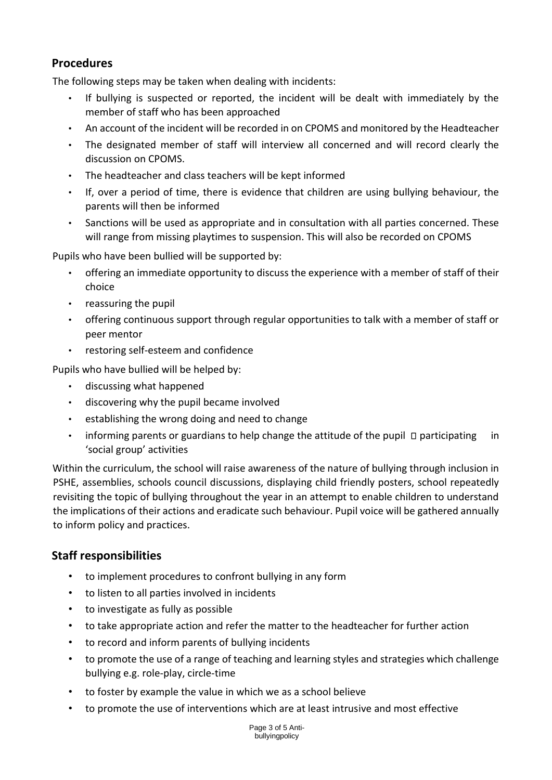# **Procedures**

The following steps may be taken when dealing with incidents:

- If bullying is suspected or reported, the incident will be dealt with immediately by the member of staff who has been approached
- An account of the incident will be recorded in on CPOMS and monitored by the Headteacher
- The designated member of staff will interview all concerned and will record clearly the discussion on CPOMS.
- The headteacher and class teachers will be kept informed
- If, over a period of time, there is evidence that children are using bullying behaviour, the parents will then be informed
- Sanctions will be used as appropriate and in consultation with all parties concerned. These will range from missing playtimes to suspension. This will also be recorded on CPOMS

Pupils who have been bullied will be supported by:

- offering an immediate opportunity to discuss the experience with a member of staff of their choice
- reassuring the pupil
- offering continuous support through regular opportunities to talk with a member of staff or peer mentor
- restoring self‐esteem and confidence

Pupils who have bullied will be helped by:

- discussing what happened
- discovering why the pupil became involved
- establishing the wrong doing and need to change
- informing parents or guardians to help change the attitude of the pupil  $\Box$  participating in 'social group' activities

Within the curriculum, the school will raise awareness of the nature of bullying through inclusion in PSHE, assemblies, schools council discussions, displaying child friendly posters, school repeatedly revisiting the topic of bullying throughout the year in an attempt to enable children to understand the implications of their actions and eradicate such behaviour. Pupil voice will be gathered annually to inform policy and practices.

# **Staff responsibilities**

- to implement procedures to confront bullying in any form
- to listen to all parties involved in incidents
- to investigate as fully as possible
- to take appropriate action and refer the matter to the headteacher for further action
- to record and inform parents of bullying incidents
- to promote the use of a range of teaching and learning styles and strategies which challenge bullying e.g. role‐play, circle‐time
- to foster by example the value in which we as a school believe
- to promote the use of interventions which are at least intrusive and most effective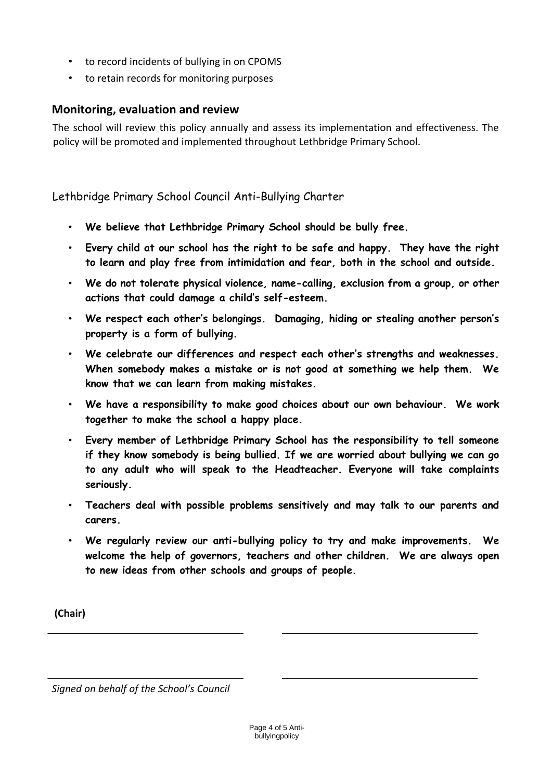- to record incidents of bullying in on CPOMS
- to retain records for monitoring purposes

# **Monitoring, evaluation and review**

The school will review this policy annually and assess its implementation and effectiveness. The policy will be promoted and implemented throughout Lethbridge Primary School.

Lethbridge Primary School Council Anti-Bullying Charter

- **We believe that Lethbridge Primary School should be bully free.**
- **Every child at our school has the right to be safe and happy. They have the right to learn and play free from intimidation and fear, both in the school and outside.**
- **We do not tolerate physical violence, name-calling, exclusion from a group, or other actions that could damage a child's self-esteem.**
- **We respect each other's belongings. Damaging, hiding or stealing another person's property is a form of bullying.**
- **We celebrate our differences and respect each other's strengths and weaknesses. When somebody makes a mistake or is not good at something we help them. We know that we can learn from making mistakes.**
- **We have a responsibility to make good choices about our own behaviour. We work together to make the school a happy place.**
- **Every member of Lethbridge Primary School has the responsibility to tell someone if they know somebody is being bullied. If we are worried about bullying we can go to any adult who will speak to the Headteacher. Everyone will take complaints seriously.**
- **Teachers deal with possible problems sensitively and may talk to our parents and carers.**
- **We regularly review our anti-bullying policy to try and make improvements. We welcome the help of governors, teachers and other children. We are always open to new ideas from other schools and groups of people.**

**(Chair)** 

*Signed on behalf of the School's Council*